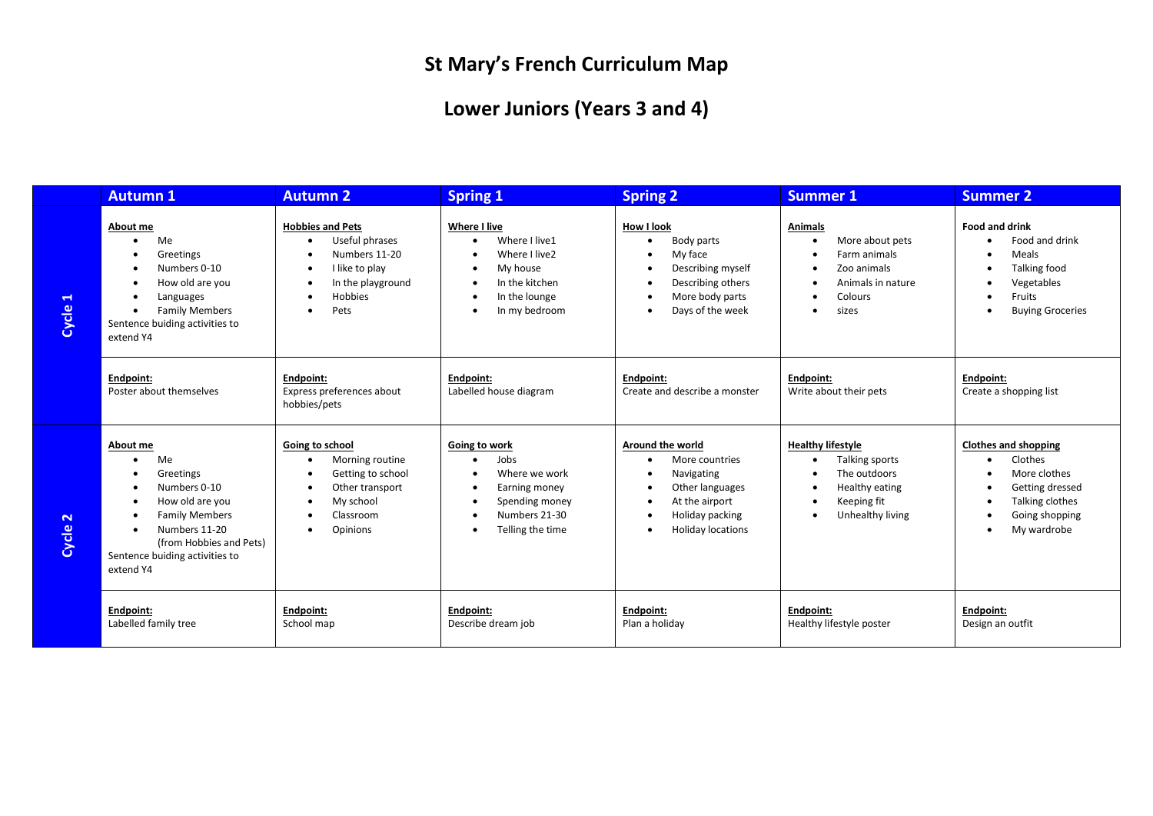## **St Mary's French Curriculum Map**

## **Lower Juniors (Years 3 and 4)**

|                                  | <b>Autumn 1</b>                                                                                                                                                                    | <b>Autumn 2</b>                                                                                                                   | <b>Spring 1</b>                                                                                                | <b>Spring 2</b>                                                                                                                      | <b>Summer 1</b>                                                                                                                                                            | <b>Summer 2</b>                                                                                                                               |
|----------------------------------|------------------------------------------------------------------------------------------------------------------------------------------------------------------------------------|-----------------------------------------------------------------------------------------------------------------------------------|----------------------------------------------------------------------------------------------------------------|--------------------------------------------------------------------------------------------------------------------------------------|----------------------------------------------------------------------------------------------------------------------------------------------------------------------------|-----------------------------------------------------------------------------------------------------------------------------------------------|
| $\blacktriangleleft$<br>Cycle    | About me<br>Me<br>Greetings<br>Numbers 0-10<br>How old are you<br>Languages<br><b>Family Members</b><br>$\bullet$<br>Sentence buiding activities to<br>extend Y4                   | <b>Hobbies and Pets</b><br>Useful phrases<br>$\bullet$<br>Numbers 11-20<br>I like to play<br>In the playground<br>Hobbies<br>Pets | Where I live<br>Where I live1<br>Where I live2<br>My house<br>In the kitchen<br>In the lounge<br>In my bedroom | How I look<br>Body parts<br>My face<br>Describing myself<br>Describing others<br>More body parts<br>Days of the week                 | <b>Animals</b><br>More about pets<br>$\bullet$<br>Farm animals<br>$\bullet$<br>Zoo animals<br>$\bullet$<br>Animals in nature<br>$\bullet$<br>Colours<br>sizes<br>$\bullet$ | <b>Food and drink</b><br>Food and drink<br>Meals<br>Talking food<br>Vegetables<br>Fruits<br>$\bullet$<br><b>Buying Groceries</b><br>$\bullet$ |
|                                  | Endpoint:<br>Poster about themselves                                                                                                                                               | Endpoint:<br>Express preferences about<br>hobbies/pets                                                                            | Endpoint:<br>Labelled house diagram                                                                            | Endpoint:<br>Create and describe a monster                                                                                           | Endpoint:<br>Write about their pets                                                                                                                                        | Endpoint:<br>Create a shopping list                                                                                                           |
| $\overline{\mathbf{N}}$<br>Cycle | About me<br>Me<br>Greetings<br>Numbers 0-10<br>How old are you<br><b>Family Members</b><br>Numbers 11-20<br>(from Hobbies and Pets)<br>Sentence buiding activities to<br>extend Y4 | Going to school<br>Morning routine<br>Getting to school<br>Other transport<br>My school<br>Classroom<br>Opinions                  | Going to work<br>Jobs<br>Where we work<br>Earning money<br>Spending money<br>Numbers 21-30<br>Telling the time | Around the world<br>More countries<br>Navigating<br>Other languages<br>At the airport<br>Holiday packing<br><b>Holiday locations</b> | <b>Healthy lifestyle</b><br>Talking sports<br>The outdoors<br>Healthy eating<br>Keeping fit<br>Unhealthy living<br>٠                                                       | <b>Clothes and shopping</b><br>Clothes<br>More clothes<br>Getting dressed<br>Talking clothes<br>Going shopping<br>$\bullet$<br>My wardrobe    |
|                                  | Endpoint:<br>Labelled family tree                                                                                                                                                  | Endpoint:<br>School map                                                                                                           | Endpoint:<br>Describe dream job                                                                                | Endpoint:<br>Plan a holiday                                                                                                          | Endpoint:<br>Healthy lifestyle poster                                                                                                                                      | Endpoint:<br>Design an outfit                                                                                                                 |